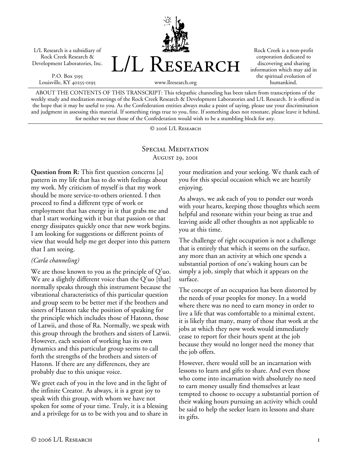L/L Research is a subsidiary of Rock Creek Research & Development Laboratories, Inc.

P.O. Box 5195 Louisville, KY 40255-0195



Rock Creek is a non-profit corporation dedicated to discovering and sharing information which may aid in the spiritual evolution of humankind.

www.llresearch.org

ABOUT THE CONTENTS OF THIS TRANSCRIPT: This telepathic channeling has been taken from transcriptions of the weekly study and meditation meetings of the Rock Creek Research & Development Laboratories and L/L Research. It is offered in the hope that it may be useful to you. As the Confederation entities always make a point of saying, please use your discrimination and judgment in assessing this material. If something rings true to you, fine. If something does not resonate, please leave it behind, for neither we nor those of the Confederation would wish to be a stumbling block for any.

© 2006 L/L Research

# SPECIAL MEDITATION August 29, 2001

**Question from R:** This first question concerns [a] pattern in my life that has to do with feelings about my work. My criticism of myself is that my work should be more service-to-others oriented. I then proceed to find a different type of work or employment that has energy in it that grabs me and that I start working with it but that passion or that energy dissipates quickly once that new work begins. I am looking for suggestions or different points of view that would help me get deeper into this pattern that I am seeing.

### *(Carla channeling)*

We are those known to you as the principle of Q'uo. We are a slightly different voice than the Q'uo [that] normally speaks through this instrument because the vibrational characteristics of this particular question and group seem to be better met if the brothers and sisters of Hatonn take the position of speaking for the principle which includes those of Hatonn, those of Latwii, and those of Ra. Normally, we speak with this group through the brothers and sisters of Latwii. However, each session of working has its own dynamics and this particular group seems to call forth the strengths of the brothers and sisters of Hatonn. If there are any differences, they are probably due to this unique voice.

We greet each of you in the love and in the light of the infinite Creator. As always, it is a great joy to speak with this group, with whom we have not spoken for some of your time. Truly, it is a blessing and a privilege for us to be with you and to share in your meditation and your seeking. We thank each of you for this special occasion which we are heartily enjoying.

As always, we ask each of you to ponder our words with your hearts, keeping those thoughts which seem helpful and resonate within your being as true and leaving aside all other thoughts as not applicable to you at this time.

The challenge of right occupation is not a challenge that is entirely that which it seems on the surface, any more than an activity at which one spends a substantial portion of one's waking hours can be simply a job, simply that which it appears on the surface.

The concept of an occupation has been distorted by the needs of your peoples for money. In a world where there was no need to earn money in order to live a life that was comfortable to a minimal extent, it is likely that many, many of those that work at the jobs at which they now work would immediately cease to report for their hours spent at the job because they would no longer need the money that the job offers.

However, there would still be an incarnation with lessons to learn and gifts to share. And even those who come into incarnation with absolutely no need to earn money usually find themselves at least tempted to choose to occupy a substantial portion of their waking hours pursuing an activity which could be said to help the seeker learn its lessons and share its gifts.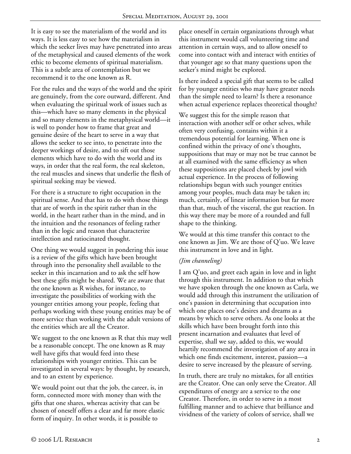It is easy to see the materialism of the world and its ways. It is less easy to see how the materialism in which the seeker lives may have penetrated into areas of the metaphysical and caused elements of the work ethic to become elements of spiritual materialism. This is a subtle area of contemplation but we recommend it to the one known as R.

For the rules and the ways of the world and the spirit are genuinely, from the core outward, different. And when evaluating the spiritual work of issues such as this—which have so many elements in the physical and so many elements in the metaphysical world—it is well to ponder how to frame that great and genuine desire of the heart to serve in a way that allows the seeker to see into, to penetrate into the deeper workings of desire, and to sift out those elements which have to do with the world and its ways, in order that the real form, the real skeleton, the real muscles and sinews that underlie the flesh of spiritual seeking may be viewed.

For there is a structure to right occupation in the spiritual sense. And that has to do with those things that are of worth in the spirit rather than in the world, in the heart rather than in the mind, and in the intuition and the resonances of feeling rather than in the logic and reason that characterize intellection and ratiocinated thought.

One thing we would suggest in pondering this issue is a review of the gifts which have been brought through into the personality shell available to the seeker in this incarnation and to ask the self how best these gifts might be shared. We are aware that the one known as R wishes, for instance, to investigate the possibilities of working with the younger entities among your people, feeling that perhaps working with these young entities may be of more service than working with the adult versions of the entities which are all the Creator.

We suggest to the one known as R that this may well be a reasonable concept. The one known as R may well have gifts that would feed into these relationships with younger entities. This can be investigated in several ways: by thought, by research, and to an extent by experience.

We would point out that the job, the career, is, in form, connected more with money than with the gifts that one shares, whereas activity that can be chosen of oneself offers a clear and far more elastic form of inquiry. In other words, it is possible to

place oneself in certain organizations through what this instrument would call volunteering time and attention in certain ways, and to allow oneself to come into contact with and interact with entities of that younger age so that many questions upon the seeker's mind might be explored.

Is there indeed a special gift that seems to be called for by younger entities who may have greater needs than the simple need to learn? Is there a resonance when actual experience replaces theoretical thought?

We suggest this for the simple reason that interaction with another self or other selves, while often very confusing, contains within it a tremendous potential for learning. When one is confined within the privacy of one's thoughts, suppositions that may or may not be true cannot be at all examined with the same efficiency as when these suppositions are placed cheek by jowl with actual experience. In the process of following relationships begun with such younger entities among your peoples, much data may be taken in; much, certainly, of linear information but far more than that, much of the visceral, the gut reaction. In this way there may be more of a rounded and full shape to the thinking.

We would at this time transfer this contact to the one known as Jim. We are those of Q'uo. We leave this instrument in love and in light.

### *(Jim channeling)*

I am Q'uo, and greet each again in love and in light through this instrument. In addition to that which we have spoken through the one known as Carla, we would add through this instrument the utilization of one's passion in determining that occupation into which one places one's desires and dreams as a means by which to serve others. As one looks at the skills which have been brought forth into this present incarnation and evaluates that level of expertise, shall we say, added to this, we would heartily recommend the investigation of any area in which one finds excitement, interest, passion—a desire to serve increased by the pleasure of serving.

In truth, there are truly no mistakes, for all entities are the Creator. One can only serve the Creator. All expenditures of energy are a service to the one Creator. Therefore, in order to serve in a most fulfilling manner and to achieve that brilliance and vividness of the variety of colors of service, shall we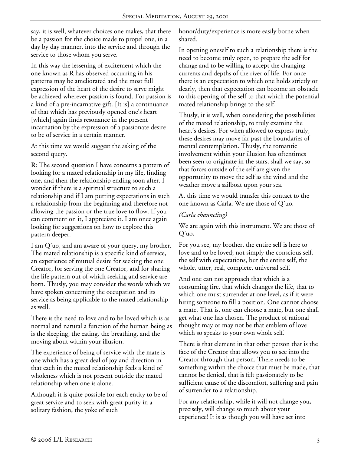say, it is well, whatever choices one makes, that there be a passion for the choice made to propel one, in a day by day manner, into the service and through the service to those whom you serve.

In this way the lessening of excitement which the one known as R has observed occurring in his patterns may be ameliorated and the most full expression of the heart of the desire to serve might be achieved wherever passion is found. For passion is a kind of a pre-incarnative gift. [It is] a continuance of that which has previously opened one's heart [which] again finds resonance in the present incarnation by the expression of a passionate desire to be of service in a certain manner.

At this time we would suggest the asking of the second query.

**R:** The second question I have concerns a pattern of looking for a mated relationship in my life, finding one, and then the relationship ending soon after. I wonder if there is a spiritual structure to such a relationship and if I am putting expectations in such a relationship from the beginning and therefore not allowing the passion or the true love to flow. If you can comment on it, I appreciate it. I am once again looking for suggestions on how to explore this pattern deeper.

I am Q'uo, and am aware of your query, my brother. The mated relationship is a specific kind of service, an experience of mutual desire for seeking the one Creator, for serving the one Creator, and for sharing the life pattern out of which seeking and service are born. Thusly, you may consider the words which we have spoken concerning the occupation and its service as being applicable to the mated relationship as well.

There is the need to love and to be loved which is as normal and natural a function of the human being as is the sleeping, the eating, the breathing, and the moving about within your illusion.

The experience of being of service with the mate is one which has a great deal of joy and direction in that each in the mated relationship feels a kind of wholeness which is not present outside the mated relationship when one is alone.

Although it is quite possible for each entity to be of great service and to seek with great purity in a solitary fashion, the yoke of such

honor/duty/experience is more easily borne when shared.

In opening oneself to such a relationship there is the need to become truly open, to prepare the self for change and to be willing to accept the changing currents and depths of the river of life. For once there is an expectation to which one holds strictly or dearly, then that expectation can become an obstacle to this opening of the self to that which the potential mated relationship brings to the self.

Thusly, it is well, when considering the possibilities of the mated relationship, to truly examine the heart's desires. For when allowed to express truly, these desires may move far past the boundaries of mental contemplation. Thusly, the romantic involvement within your illusion has oftentimes been seen to originate in the stars, shall we say, so that forces outside of the self are given the opportunity to move the self as the wind and the weather move a sailboat upon your sea.

At this time we would transfer this contact to the one known as Carla. We are those of Q'uo.

# *(Carla channeling)*

We are again with this instrument. We are those of Q'uo.

For you see, my brother, the entire self is here to love and to be loved; not simply the conscious self, the self with expectations, but the entire self, the whole, utter, real, complete, universal self.

And one can not approach that which is a consuming fire, that which changes the life, that to which one must surrender at one level, as if it were hiring someone to fill a position. One cannot choose a mate. That is, one can choose a mate, but one shall get what one has chosen. The product of rational thought may or may not be that emblem of love which so speaks to your own whole self.

There is that element in that other person that is the face of the Creator that allows you to see into the Creator through that person. There needs to be something within the choice that must be made, that cannot be denied, that is felt passionately to be sufficient cause of the discomfort, suffering and pain of surrender to a relationship.

For any relationship, while it will not change you, precisely, will change so much about your experience! It is as though you will have set into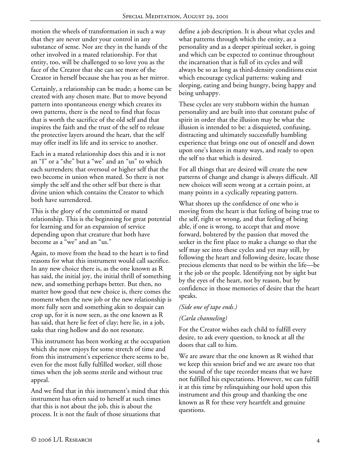motion the wheels of transformation in such a way that they are never under your control in any substance of sense. Nor are they in the hands of the other involved in a mated relationship. For that entity, too, will be challenged to so love you as the face of the Creator that she can see more of the Creator in herself because she has you as her mirror.

Certainly, a relationship can be made; a home can be created with any chosen mate. But to move beyond pattern into spontaneous energy which creates its own patterns, there is the need to find that focus that is worth the sacrifice of the old self and that inspires the faith and the trust of the self to release the protective layers around the heart, that the self may offer itself its life and its service to another.

Each in a mated relationship does this and it is not an "I" or a "she" but a "we" and an "us" to which each surrenders; that oversoul or higher self that the two become in union when mated. So there is not simply the self and the other self but there is that divine union which contains the Creator to which both have surrendered.

This is the glory of the committed or mated relationship. This is the beginning for great potential for learning and for an expansion of service depending upon that creature that both have become as a "we" and an "us."

Again, to move from the head to the heart is to find reasons for what this instrument would call sacrifice. In any new choice there is, as the one known as R has said, the initial joy, the initial thrill of something new, and something perhaps better. But then, no matter how good that new choice is, there comes the moment when the new job or the new relationship is more fully seen and something akin to despair can crop up, for it is now seen, as the one known as R has said, that here lie feet of clay; here lie, in a job, tasks that ring hollow and do not resonate.

This instrument has been working at the occupation which she now enjoys for some stretch of time and from this instrument's experience there seems to be, even for the most fully fulfilled worker, still those times when the job seems sterile and without true appeal.

And we find that in this instrument's mind that this instrument has often said to herself at such times that this is not about the job, this is about the process. It is not the fault of those situations that

define a job description. It is about what cycles and what patterns through which the entity, as a personality and as a deeper spiritual seeker, is going and which can be expected to continue throughout the incarnation that is full of its cycles and will always be so as long as third-density conditions exist which encourage cyclical patterns: waking and sleeping, eating and being hungry, being happy and being unhappy.

These cycles are very stubborn within the human personality and are built into that constant pulse of spirit in order that the illusion may be what the illusion is intended to be: a disquieted, confusing, distracting and ultimately successfully humbling experience that brings one out of oneself and down upon one's knees in many ways, and ready to open the self to that which is desired.

For all things that are desired will create the new patterns of change and change is always difficult. All new choices will seem wrong at a certain point, at many points in a cyclically repeating pattern.

What shores up the confidence of one who is moving from the heart is that feeling of being true to the self, right or wrong, and that feeling of being able, if one is wrong, to accept that and move forward, bolstered by the passion that moved the seeker in the first place to make a change so that the self may see into these cycles and yet may still, by following the heart and following desire, locate those precious elements that need to be within the life—be it the job or the people. Identifying not by sight but by the eyes of the heart, not by reason, but by confidence in those memories of desire that the heart speaks.

#### *(Side one of tape ends.)*

# *(Carla channeling)*

For the Creator wishes each child to fulfill every desire, to ask every question, to knock at all the doors that call to him.

We are aware that the one known as R wished that we keep this session brief and we are aware too that the sound of the tape recorder means that we have not fulfilled his expectations. However, we can fulfill it at this time by relinquishing our hold upon this instrument and this group and thanking the one known as R for these very heartfelt and genuine questions.